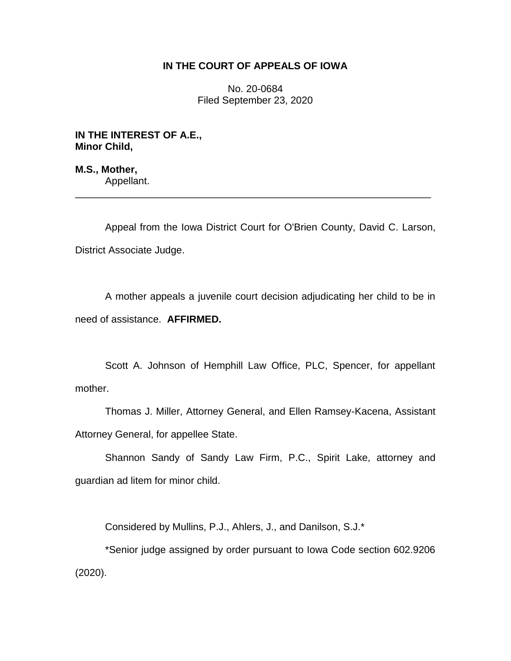# **IN THE COURT OF APPEALS OF IOWA**

No. 20-0684 Filed September 23, 2020

**IN THE INTEREST OF A.E., Minor Child,**

**M.S., Mother,** Appellant.

Appeal from the Iowa District Court for O'Brien County, David C. Larson, District Associate Judge.

\_\_\_\_\_\_\_\_\_\_\_\_\_\_\_\_\_\_\_\_\_\_\_\_\_\_\_\_\_\_\_\_\_\_\_\_\_\_\_\_\_\_\_\_\_\_\_\_\_\_\_\_\_\_\_\_\_\_\_\_\_\_\_\_

A mother appeals a juvenile court decision adjudicating her child to be in need of assistance. **AFFIRMED.**

Scott A. Johnson of Hemphill Law Office, PLC, Spencer, for appellant mother.

Thomas J. Miller, Attorney General, and Ellen Ramsey-Kacena, Assistant Attorney General, for appellee State.

Shannon Sandy of Sandy Law Firm, P.C., Spirit Lake, attorney and guardian ad litem for minor child.

Considered by Mullins, P.J., Ahlers, J., and Danilson, S.J.\*

\*Senior judge assigned by order pursuant to Iowa Code section 602.9206 (2020).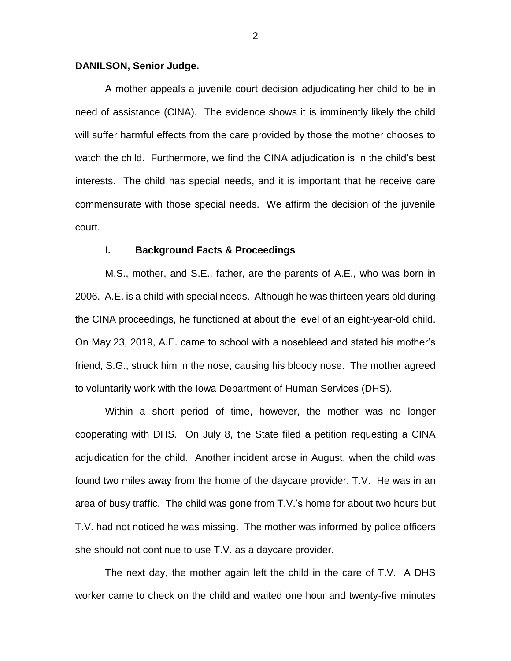### **DANILSON, Senior Judge.**

A mother appeals a juvenile court decision adjudicating her child to be in need of assistance (CINA). The evidence shows it is imminently likely the child will suffer harmful effects from the care provided by those the mother chooses to watch the child. Furthermore, we find the CINA adjudication is in the child's best interests. The child has special needs, and it is important that he receive care commensurate with those special needs. We affirm the decision of the juvenile court.

#### **I. Background Facts & Proceedings**

M.S., mother, and S.E., father, are the parents of A.E., who was born in 2006. A.E. is a child with special needs. Although he was thirteen years old during the CINA proceedings, he functioned at about the level of an eight-year-old child. On May 23, 2019, A.E. came to school with a nosebleed and stated his mother's friend, S.G., struck him in the nose, causing his bloody nose. The mother agreed to voluntarily work with the Iowa Department of Human Services (DHS).

Within a short period of time, however, the mother was no longer cooperating with DHS. On July 8, the State filed a petition requesting a CINA adjudication for the child. Another incident arose in August, when the child was found two miles away from the home of the daycare provider, T.V. He was in an area of busy traffic. The child was gone from T.V.'s home for about two hours but T.V. had not noticed he was missing. The mother was informed by police officers she should not continue to use T.V. as a daycare provider.

The next day, the mother again left the child in the care of T.V. A DHS worker came to check on the child and waited one hour and twenty-five minutes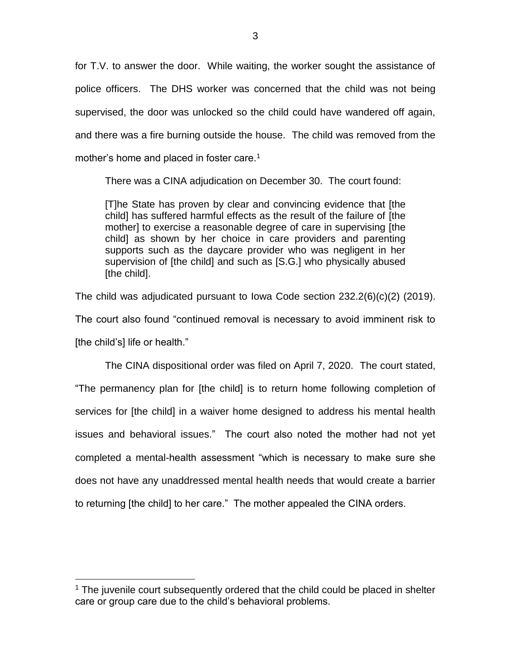for T.V. to answer the door. While waiting, the worker sought the assistance of police officers. The DHS worker was concerned that the child was not being supervised, the door was unlocked so the child could have wandered off again, and there was a fire burning outside the house. The child was removed from the mother's home and placed in foster care.<sup>1</sup>

There was a CINA adjudication on December 30. The court found:

[T]he State has proven by clear and convincing evidence that [the child] has suffered harmful effects as the result of the failure of [the mother] to exercise a reasonable degree of care in supervising [the child] as shown by her choice in care providers and parenting supports such as the daycare provider who was negligent in her supervision of [the child] and such as [S.G.] who physically abused [the child].

The child was adjudicated pursuant to Iowa Code section 232.2(6)(c)(2) (2019).

The court also found "continued removal is necessary to avoid imminent risk to [the child's] life or health."

The CINA dispositional order was filed on April 7, 2020. The court stated, "The permanency plan for [the child] is to return home following completion of services for [the child] in a waiver home designed to address his mental health issues and behavioral issues." The court also noted the mother had not yet completed a mental-health assessment "which is necessary to make sure she does not have any unaddressed mental health needs that would create a barrier to returning [the child] to her care." The mother appealed the CINA orders.

 $\overline{a}$ 

 $1$  The juvenile court subsequently ordered that the child could be placed in shelter care or group care due to the child's behavioral problems.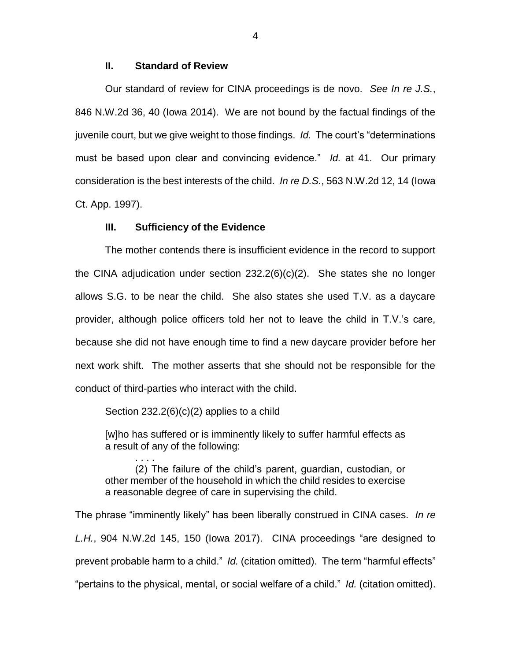### **II. Standard of Review**

Our standard of review for CINA proceedings is de novo. *See In re J.S.*, 846 N.W.2d 36, 40 (Iowa 2014). We are not bound by the factual findings of the juvenile court, but we give weight to those findings. *Id.* The court's "determinations must be based upon clear and convincing evidence." *Id.* at 41. Our primary consideration is the best interests of the child. *In re D.S.*, 563 N.W.2d 12, 14 (Iowa Ct. App. 1997).

### **III. Sufficiency of the Evidence**

The mother contends there is insufficient evidence in the record to support the CINA adjudication under section 232.2(6)(c)(2). She states she no longer allows S.G. to be near the child. She also states she used T.V. as a daycare provider, although police officers told her not to leave the child in T.V.'s care, because she did not have enough time to find a new daycare provider before her next work shift. The mother asserts that she should not be responsible for the conduct of third-parties who interact with the child.

Section 232.2(6)(c)(2) applies to a child

. . . .

[w]ho has suffered or is imminently likely to suffer harmful effects as a result of any of the following:

(2) The failure of the child's parent, guardian, custodian, or other member of the household in which the child resides to exercise a reasonable degree of care in supervising the child.

The phrase "imminently likely" has been liberally construed in CINA cases. *In re L.H.*, 904 N.W.2d 145, 150 (Iowa 2017). CINA proceedings "are designed to prevent probable harm to a child." *Id.* (citation omitted). The term "harmful effects" "pertains to the physical, mental, or social welfare of a child." *Id.* (citation omitted).

4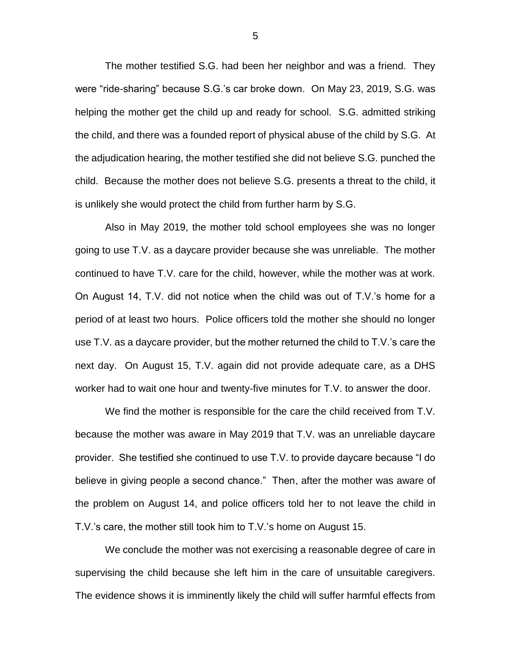The mother testified S.G. had been her neighbor and was a friend. They were "ride-sharing" because S.G.'s car broke down. On May 23, 2019, S.G. was helping the mother get the child up and ready for school. S.G. admitted striking the child, and there was a founded report of physical abuse of the child by S.G. At the adjudication hearing, the mother testified she did not believe S.G. punched the child. Because the mother does not believe S.G. presents a threat to the child, it is unlikely she would protect the child from further harm by S.G.

Also in May 2019, the mother told school employees she was no longer going to use T.V. as a daycare provider because she was unreliable. The mother continued to have T.V. care for the child, however, while the mother was at work. On August 14, T.V. did not notice when the child was out of T.V.'s home for a period of at least two hours. Police officers told the mother she should no longer use T.V. as a daycare provider, but the mother returned the child to T.V.'s care the next day. On August 15, T.V. again did not provide adequate care, as a DHS worker had to wait one hour and twenty-five minutes for T.V. to answer the door.

We find the mother is responsible for the care the child received from T.V. because the mother was aware in May 2019 that T.V. was an unreliable daycare provider. She testified she continued to use T.V. to provide daycare because "I do believe in giving people a second chance." Then, after the mother was aware of the problem on August 14, and police officers told her to not leave the child in T.V.'s care, the mother still took him to T.V.'s home on August 15.

We conclude the mother was not exercising a reasonable degree of care in supervising the child because she left him in the care of unsuitable caregivers. The evidence shows it is imminently likely the child will suffer harmful effects from